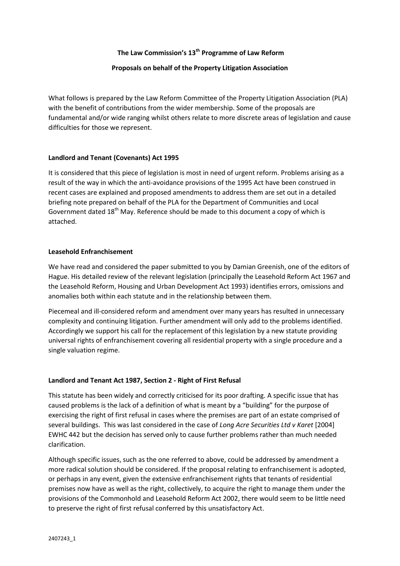# **The Law Commission's 13th Programme of Law Reform**

## **Proposals on behalf of the Property Litigation Association**

What follows is prepared by the Law Reform Committee of the Property Litigation Association (PLA) with the benefit of contributions from the wider membership. Some of the proposals are fundamental and/or wide ranging whilst others relate to more discrete areas of legislation and cause difficulties for those we represent.

### **Landlord and Tenant (Covenants) Act 1995**

It is considered that this piece of legislation is most in need of urgent reform. Problems arising as a result of the way in which the anti-avoidance provisions of the 1995 Act have been construed in recent cases are explained and proposed amendments to address them are set out in a detailed briefing note prepared on behalf of the PLA for the Department of Communities and Local Government dated  $18<sup>th</sup>$  May. Reference should be made to this document a copy of which is attached.

#### **Leasehold Enfranchisement**

We have read and considered the paper submitted to you by Damian Greenish, one of the editors of Hague. His detailed review of the relevant legislation (principally the Leasehold Reform Act 1967 and the Leasehold Reform, Housing and Urban Development Act 1993) identifies errors, omissions and anomalies both within each statute and in the relationship between them.

Piecemeal and ill-considered reform and amendment over many years has resulted in unnecessary complexity and continuing litigation. Further amendment will only add to the problems identified. Accordingly we support his call for the replacement of this legislation by a new statute providing universal rights of enfranchisement covering all residential property with a single procedure and a single valuation regime.

### **Landlord and Tenant Act 1987, Section 2 - Right of First Refusal**

This statute has been widely and correctly criticised for its poor drafting. A specific issue that has caused problems is the lack of a definition of what is meant by a "building" for the purpose of exercising the right of first refusal in cases where the premises are part of an estate comprised of several buildings. This was last considered in the case of *Long Acre Securities Ltd v Karet* [2004] EWHC 442 but the decision has served only to cause further problems rather than much needed clarification.

Although specific issues, such as the one referred to above, could be addressed by amendment a more radical solution should be considered. If the proposal relating to enfranchisement is adopted, or perhaps in any event, given the extensive enfranchisement rights that tenants of residential premises now have as well as the right, collectively, to acquire the right to manage them under the provisions of the Commonhold and Leasehold Reform Act 2002, there would seem to be little need to preserve the right of first refusal conferred by this unsatisfactory Act.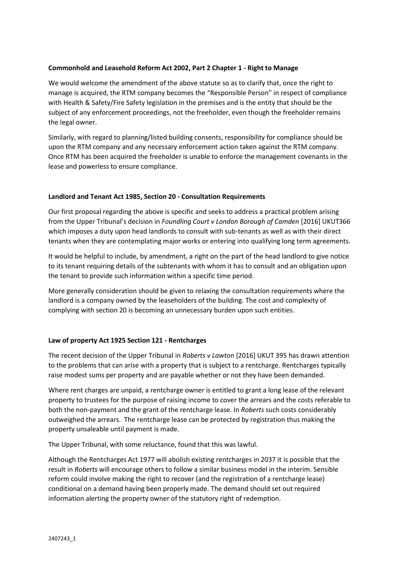## **Commonhold and Leasehold Reform Act 2002, Part 2 Chapter 1 - Right to Manage**

We would welcome the amendment of the above statute so as to clarify that, once the right to manage is acquired, the RTM company becomes the "Responsible Person" in respect of compliance with Health & Safety/Fire Safety legislation in the premises and is the entity that should be the subject of any enforcement proceedings, not the freeholder, even though the freeholder remains the legal owner.

Similarly, with regard to planning/listed building consents, responsibility for compliance should be upon the RTM company and any necessary enforcement action taken against the RTM company. Once RTM has been acquired the freeholder is unable to enforce the management covenants in the lease and powerless to ensure compliance.

### **Landlord and Tenant Act 1985, Section 20 - Consultation Requirements**

Our first proposal regarding the above is specific and seeks to address a practical problem arising from the Upper Tribunal's decision in *Foundling Court v London Borough of Camden* [2016] UKUT366 which imposes a duty upon head landlords to consult with sub-tenants as well as with their direct tenants when they are contemplating major works or entering into qualifying long term agreements.

It would be helpful to include, by amendment, a right on the part of the head landlord to give notice to its tenant requiring details of the subtenants with whom it has to consult and an obligation upon the tenant to provide such information within a specific time period.

More generally consideration should be given to relaxing the consultation requirements where the landlord is a company owned by the leaseholders of the building. The cost and complexity of complying with section 20 is becoming an unnecessary burden upon such entities.

### **Law of property Act 1925 Section 121 - Rentcharges**

The recent decision of the Upper Tribunal in *Roberts v Lawton* [2016] UKUT 395 has drawn attention to the problems that can arise with a property that is subject to a rentcharge. Rentcharges typically raise modest sums per property and are payable whether or not they have been demanded.

Where rent charges are unpaid, a rentcharge owner is entitled to grant a long lease of the relevant property to trustees for the purpose of raising income to cover the arrears and the costs referable to both the non-payment and the grant of the rentcharge lease. In *Roberts* such costs considerably outweighed the arrears. The rentcharge lease can be protected by registration thus making the property unsaleable until payment is made.

The Upper Tribunal, with some reluctance, found that this was lawful.

Although the Rentcharges Act 1977 will abolish existing rentcharges in 2037 it is possible that the result in *Roberts* will encourage others to follow a similar business model in the interim. Sensible reform could involve making the right to recover (and the registration of a rentcharge lease) conditional on a demand having been properly made. The demand should set out required information alerting the property owner of the statutory right of redemption.